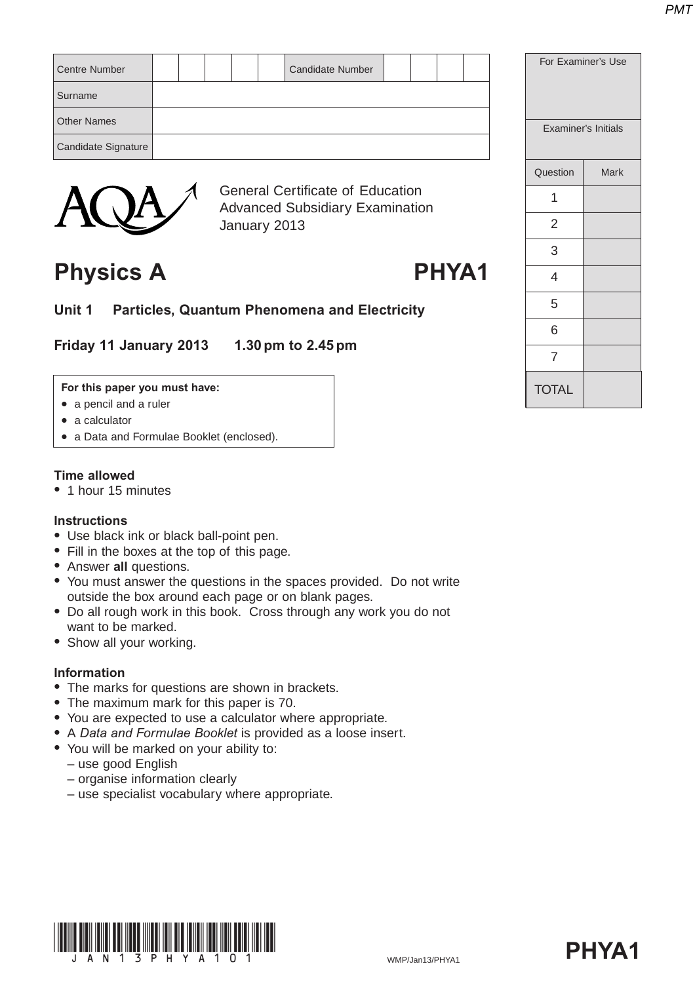| <b>Centre Number</b> |  |  | <b>Candidate Number</b> |  |  |
|----------------------|--|--|-------------------------|--|--|
| Surname              |  |  |                         |  |  |
| <b>Other Names</b>   |  |  |                         |  |  |
| Candidate Signature  |  |  |                         |  |  |
|                      |  |  |                         |  |  |



General Certificate of Education Advanced Subsidiary Examination January 2013

## **Physics A PHYA1**

**Unit 1 Particles, Quantum Phenomena and Electricity**

**Friday 11 January 2013 1.30 pm to 2.45 pm**

#### **For this paper you must have:**

- $\bullet$  a pencil and a ruler
- $\bullet$  a calculator
- a Data and Formulae Booklet (enclosed).

### **Time allowed**

• 1 hour 15 minutes

### **Instructions**

- Use black ink or black ball-point pen.
- Fill in the boxes at the top of this page.
- Answer **all** questions.
- You must answer the questions in the spaces provided. Do not write outside the box around each page or on blank pages.
- Do all rough work in this book. Cross through any work you do not want to be marked.
- Show all your working.

### **Information**

- The marks for questions are shown in brackets.
- The maximum mark for this paper is 70.
- You are expected to use a calculator where appropriate.
- A *Data and Formulae Booklet* is provided as a loose insert.
- You will be marked on your ability to:
	- use good English
	- organise information clearly
	- use specialist vocabulary where appropriate.





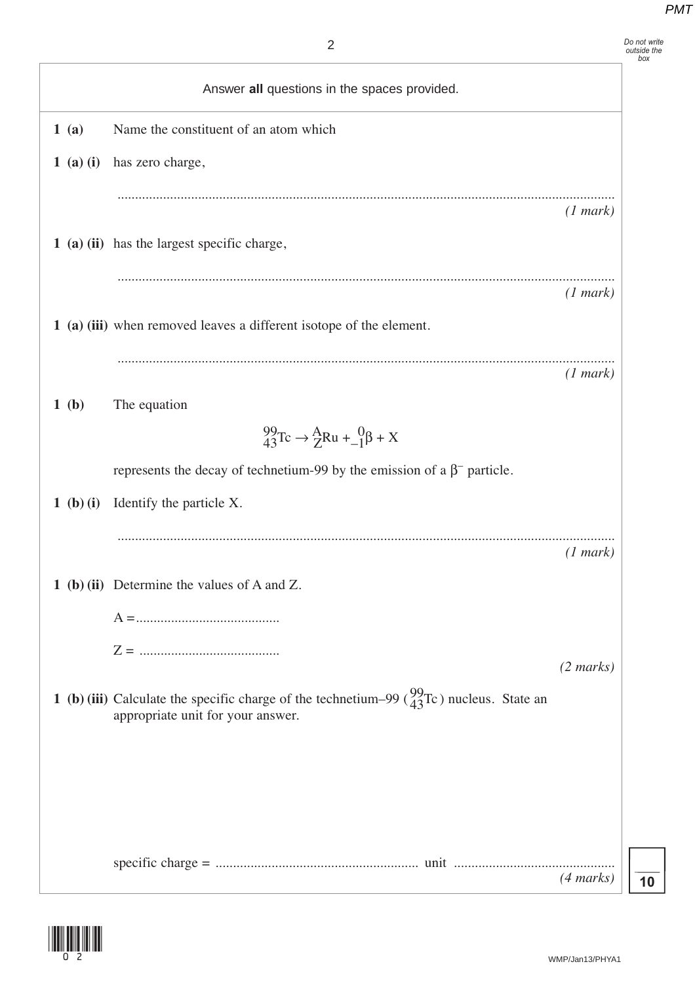*Do not write outside the box*

|             | Answer all questions in the spaces provided.                                                                                             |                     |
|-------------|------------------------------------------------------------------------------------------------------------------------------------------|---------------------|
| 1(a)        | Name the constituent of an atom which                                                                                                    |                     |
| $1$ (a) (i) | has zero charge,                                                                                                                         |                     |
|             |                                                                                                                                          | (1 mark)            |
|             | 1 (a) (ii) has the largest specific charge,                                                                                              |                     |
|             |                                                                                                                                          | (1 mark)            |
|             | 1 (a) (iii) when removed leaves a different isotope of the element.                                                                      |                     |
|             |                                                                                                                                          | (1 mark)            |
| 1(b)        | The equation                                                                                                                             |                     |
|             | $^{99}_{43}$ Tc $\rightarrow$ $^{A}_{Z}$ Ru + $^{0}_{-1}$ $\beta$ + X                                                                    |                     |
|             | represents the decay of technetium-99 by the emission of a $\beta^-$ particle.                                                           |                     |
| 1 (b) (i)   | Identify the particle X.                                                                                                                 |                     |
|             |                                                                                                                                          | (1 mark)            |
|             | 1 (b) (ii) Determine the values of A and Z.                                                                                              |                     |
|             |                                                                                                                                          |                     |
|             |                                                                                                                                          | $(2 \text{ marks})$ |
|             | 1 (b) (iii) Calculate the specific charge of the technetium–99 ( $^{99}_{43}$ Tc) nucleus. State an<br>appropriate unit for your answer. |                     |
|             |                                                                                                                                          |                     |
|             |                                                                                                                                          |                     |
|             |                                                                                                                                          |                     |
|             |                                                                                                                                          | $(4 \text{ marks})$ |

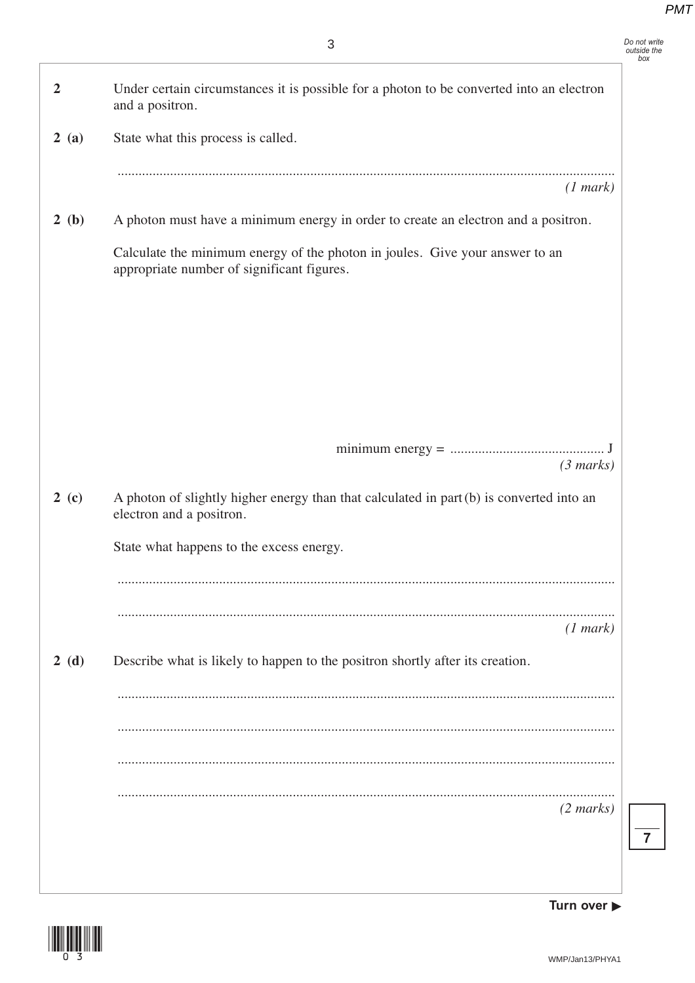*Do not write outside the box*

| $\overline{2}$ | Under certain circumstances it is possible for a photon to be converted into an electron<br>and a positron.                |
|----------------|----------------------------------------------------------------------------------------------------------------------------|
| 2(a)           | State what this process is called.                                                                                         |
|                | (1 mark)                                                                                                                   |
| 2(b)           | A photon must have a minimum energy in order to create an electron and a positron.                                         |
|                | Calculate the minimum energy of the photon in joules. Give your answer to an<br>appropriate number of significant figures. |
|                |                                                                                                                            |
|                |                                                                                                                            |
|                |                                                                                                                            |
|                |                                                                                                                            |
|                | (3 marks)                                                                                                                  |
| 2(c)           | A photon of slightly higher energy than that calculated in part (b) is converted into an<br>electron and a positron.       |
|                | State what happens to the excess energy.                                                                                   |
|                |                                                                                                                            |
|                | (1 mark)                                                                                                                   |
| 2(d)           | Describe what is likely to happen to the positron shortly after its creation.                                              |
|                |                                                                                                                            |
|                |                                                                                                                            |
|                |                                                                                                                            |
|                | $(2 \text{ marks})$                                                                                                        |
|                |                                                                                                                            |
|                |                                                                                                                            |



**Turn over**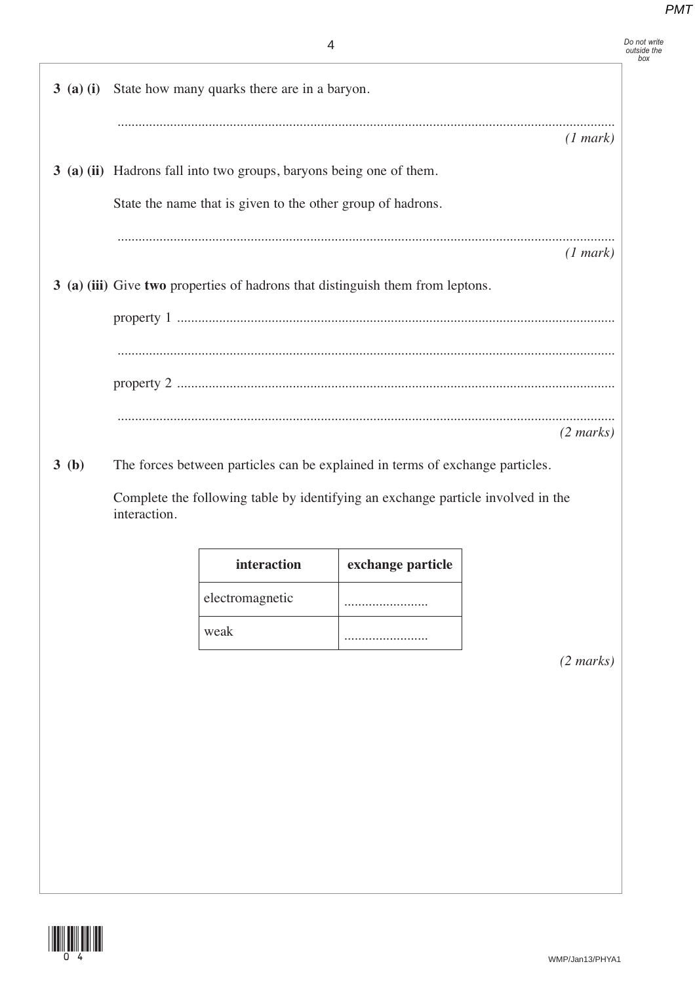|                                       | Do not write<br>outside the<br>box |
|---------------------------------------|------------------------------------|
| ow many quarks there are in a baryon. |                                    |
| (1 mark)                              |                                    |

**3 (a) (ii)** Hadrons fall into two groups, baryons being one of them.

**3 (a) (i)** State how many quarks there are in a baryon.

State the name that is given to the other group of hadrons.

.............................................................................................................................................. *(1 mark)*

**3 (a) (iii)** Give **two** properties of hadrons that distinguish them from leptons.

property 1 ............................................................................................................................. .............................................................................................................................................. property 2 ............................................................................................................................. .............................................................................................................................................. *(2 marks)*

**3 (b)** The forces between particles can be explained in terms of exchange particles.

Complete the following table by identifying an exchange particle involved in the interaction.

| interaction     | exchange particle |
|-----------------|-------------------|
| electromagnetic |                   |
| weak            |                   |

*(2 marks)*

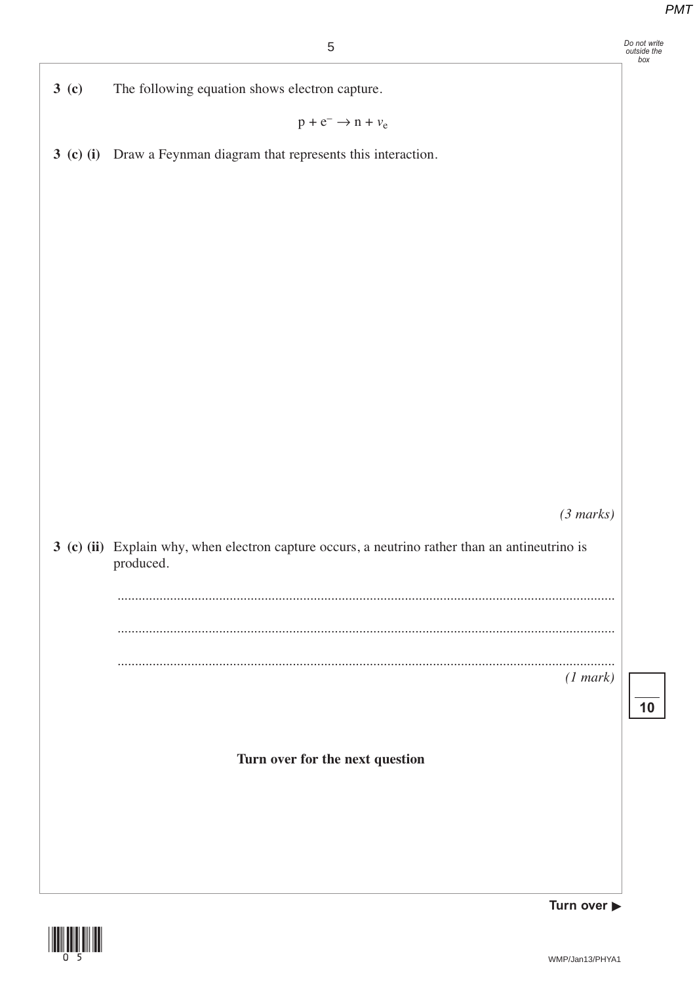|                  | $\sqrt{5}$                                                                                                   | Do not write<br>outside the<br>box |
|------------------|--------------------------------------------------------------------------------------------------------------|------------------------------------|
| 3 <sub>(c)</sub> | The following equation shows electron capture.                                                               |                                    |
|                  | $p + e^- \rightarrow n + \nu_e$                                                                              |                                    |
|                  | 3 (c) (i) Draw a Feynman diagram that represents this interaction.                                           |                                    |
|                  |                                                                                                              |                                    |
|                  |                                                                                                              |                                    |
|                  |                                                                                                              |                                    |
|                  |                                                                                                              |                                    |
|                  |                                                                                                              |                                    |
|                  |                                                                                                              |                                    |
|                  |                                                                                                              |                                    |
|                  |                                                                                                              |                                    |
|                  |                                                                                                              |                                    |
|                  |                                                                                                              |                                    |
|                  | (3 marks)                                                                                                    |                                    |
|                  | 3 (c) (ii) Explain why, when electron capture occurs, a neutrino rather than an antineutrino is<br>produced. |                                    |
|                  |                                                                                                              |                                    |
|                  |                                                                                                              |                                    |
|                  | (1 mark)                                                                                                     |                                    |
|                  |                                                                                                              | 10                                 |
|                  |                                                                                                              |                                    |
|                  | Turn over for the next question                                                                              |                                    |
|                  |                                                                                                              |                                    |
|                  |                                                                                                              |                                    |
|                  |                                                                                                              |                                    |
|                  | Turn over $\blacktriangleright$                                                                              |                                    |

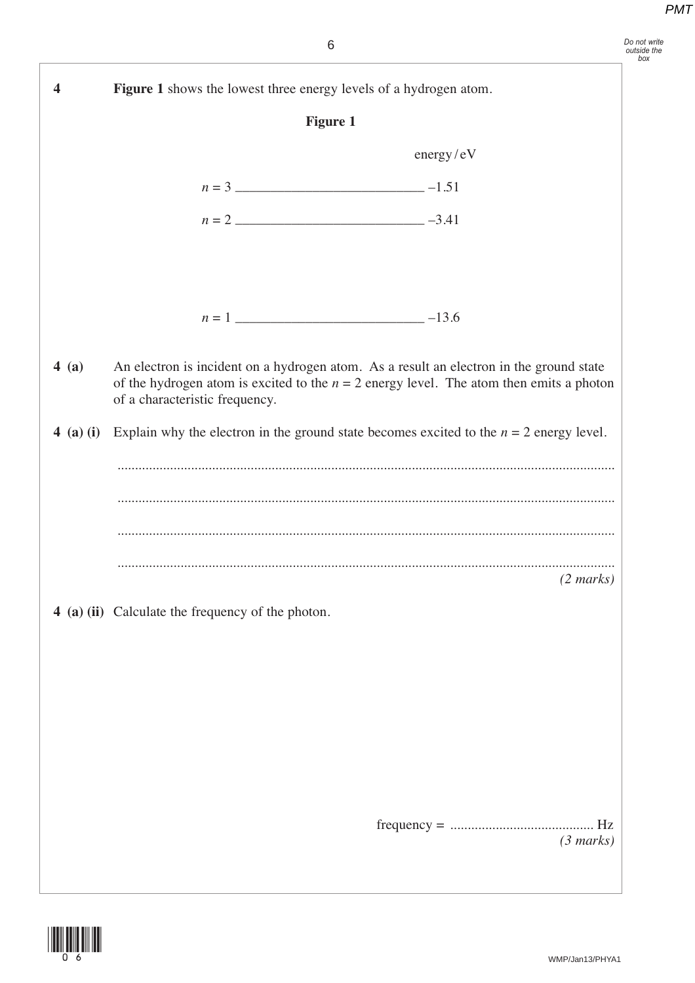| 4 | Figure 1 shows the lowest three energy levels of a hydrogen atom. |                                                                                                     |  |
|---|-------------------------------------------------------------------|-----------------------------------------------------------------------------------------------------|--|
|   |                                                                   | <b>Figure 1</b>                                                                                     |  |
|   |                                                                   | energy/eV                                                                                           |  |
|   |                                                                   |                                                                                                     |  |
|   |                                                                   |                                                                                                     |  |
|   |                                                                   |                                                                                                     |  |
|   |                                                                   |                                                                                                     |  |
|   |                                                                   | $n = 1$ $-13.6$                                                                                     |  |
|   | of a characteristic frequency.                                    |                                                                                                     |  |
|   |                                                                   | 4 (a) (i) Explain why the electron in the ground state becomes excited to the $n = 2$ energy level. |  |
|   |                                                                   |                                                                                                     |  |
|   |                                                                   | $(2 \text{ marks})$                                                                                 |  |
|   | 4 (a) (ii) Calculate the frequency of the photon.                 |                                                                                                     |  |
|   |                                                                   |                                                                                                     |  |
|   |                                                                   |                                                                                                     |  |
|   |                                                                   |                                                                                                     |  |
|   |                                                                   |                                                                                                     |  |
|   |                                                                   |                                                                                                     |  |
|   |                                                                   |                                                                                                     |  |

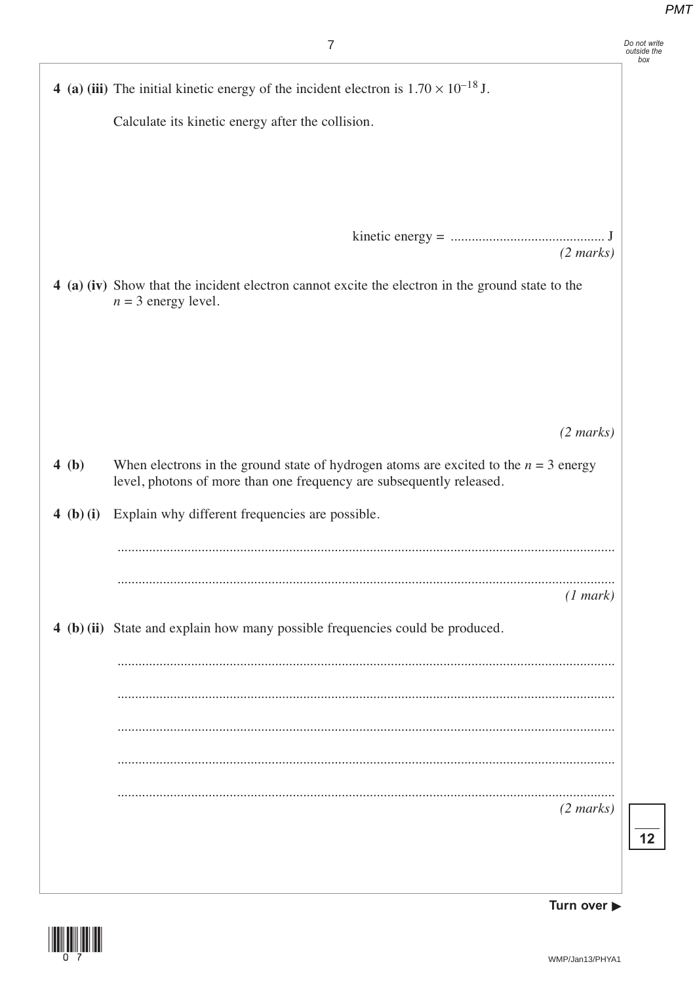|           | 7                                                                                                                                                              |
|-----------|----------------------------------------------------------------------------------------------------------------------------------------------------------------|
|           | 4 (a) (iii) The initial kinetic energy of the incident electron is $1.70 \times 10^{-18}$ J.                                                                   |
|           | Calculate its kinetic energy after the collision.                                                                                                              |
|           |                                                                                                                                                                |
|           |                                                                                                                                                                |
|           |                                                                                                                                                                |
|           | $(2 \text{ marks})$                                                                                                                                            |
|           | 4 (a) (iv) Show that the incident electron cannot excite the electron in the ground state to the<br>$n = 3$ energy level.                                      |
|           |                                                                                                                                                                |
|           |                                                                                                                                                                |
|           |                                                                                                                                                                |
|           |                                                                                                                                                                |
|           | $(2 \text{ marks})$                                                                                                                                            |
| 4(b)      | When electrons in the ground state of hydrogen atoms are excited to the $n = 3$ energy<br>level, photons of more than one frequency are subsequently released. |
| 4 (b) (i) | Explain why different frequencies are possible.                                                                                                                |
|           |                                                                                                                                                                |
|           |                                                                                                                                                                |
|           | (1 mark)                                                                                                                                                       |
|           | 4 (b) (ii) State and explain how many possible frequencies could be produced.                                                                                  |
|           |                                                                                                                                                                |
|           |                                                                                                                                                                |
|           |                                                                                                                                                                |
|           |                                                                                                                                                                |
|           |                                                                                                                                                                |
|           | $(2 \text{ marks})$                                                                                                                                            |



**Turn over**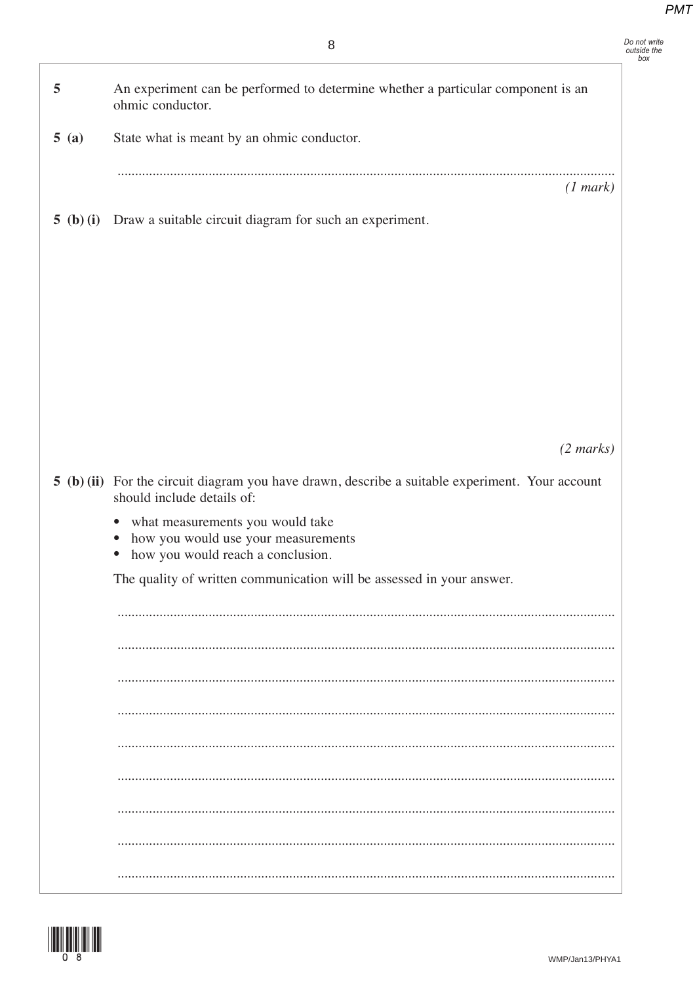Do not write<br>outside the<br>box

| 5    | An experiment can be performed to determine whether a particular component is an<br>ohmic conductor.                                                |
|------|-----------------------------------------------------------------------------------------------------------------------------------------------------|
| 5(a) | State what is meant by an ohmic conductor.                                                                                                          |
|      | (1 mark)                                                                                                                                            |
|      | 5 (b) (i) Draw a suitable circuit diagram for such an experiment.                                                                                   |
|      |                                                                                                                                                     |
|      |                                                                                                                                                     |
|      |                                                                                                                                                     |
|      |                                                                                                                                                     |
|      |                                                                                                                                                     |
|      | $(2 \text{ marks})$                                                                                                                                 |
|      | 5 (b) (ii) For the circuit diagram you have drawn, describe a suitable experiment. Your account                                                     |
|      | should include details of:                                                                                                                          |
|      | what measurements you would take<br>$\bullet$<br>how you would use your measurements<br>$\bullet$<br>how you would reach a conclusion.<br>$\bullet$ |
|      | The quality of written communication will be assessed in your answer.                                                                               |
|      |                                                                                                                                                     |
|      |                                                                                                                                                     |
|      |                                                                                                                                                     |
|      |                                                                                                                                                     |
|      |                                                                                                                                                     |
|      |                                                                                                                                                     |
|      |                                                                                                                                                     |
|      |                                                                                                                                                     |
|      |                                                                                                                                                     |



f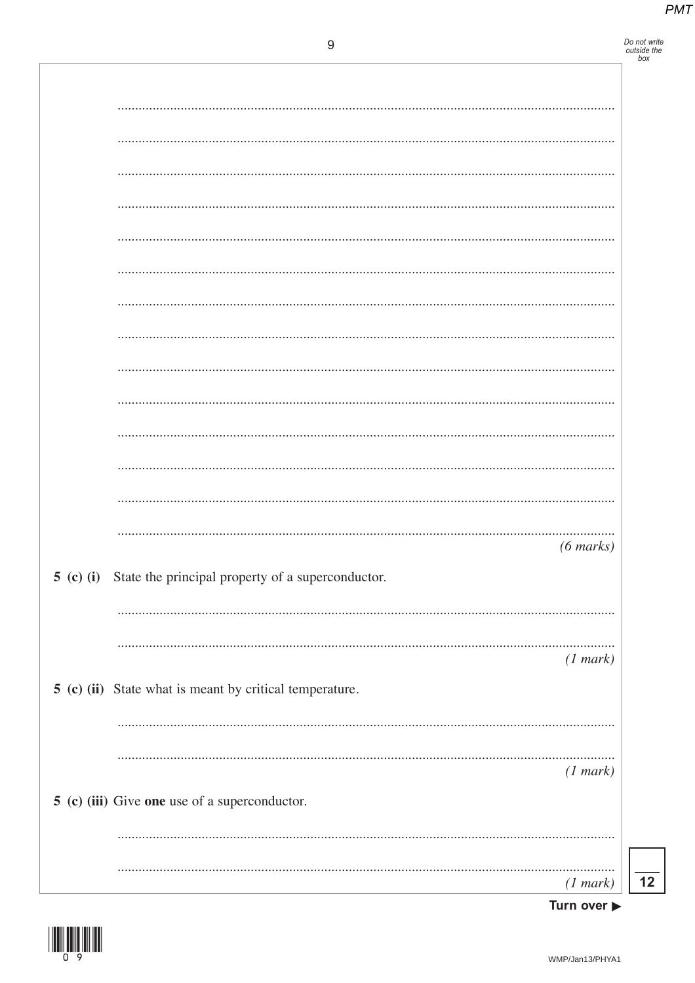Do not write<br>outside the<br>box

|                                                             | $(6 \text{ marks})$                         |
|-------------------------------------------------------------|---------------------------------------------|
| 5 (c) (i) State the principal property of a superconductor. |                                             |
|                                                             |                                             |
|                                                             |                                             |
| 5 (c) (ii) State what is meant by critical temperature.     | (1 mark)                                    |
|                                                             |                                             |
|                                                             |                                             |
|                                                             | (1 mark)                                    |
| 5 (c) (iii) Give one use of a superconductor.               |                                             |
|                                                             |                                             |
|                                                             |                                             |
|                                                             | (1 mark)<br>Turn over $\blacktriangleright$ |

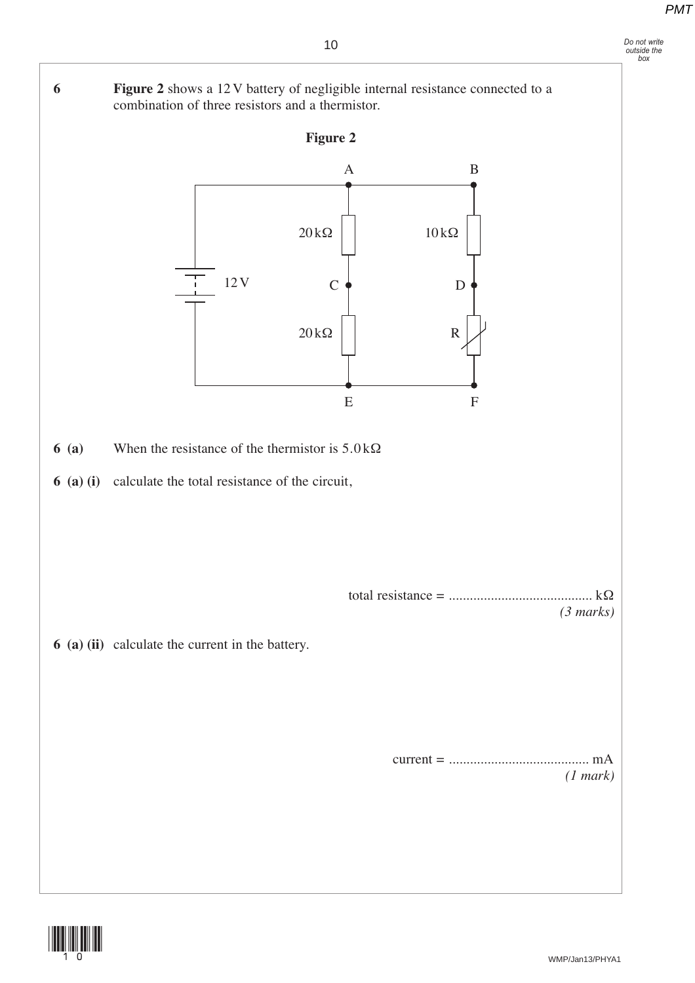# *Do not write outside the box*

**6 Figure 2** shows a 12 V battery of negligible internal resistance connected to a

combination of three resistors and a thermistor.

**Figure 2 6 (a)** When the resistance of the thermistor is 5.0 kΩ **6 (a) (i)** calculate the total resistance of the circuit, total resistance = ......................................... kΩ *(3 marks)* **6 (a) (ii)** calculate the current in the battery. current = ........................................ mA *(1 mark)*  $10$  kΩ R D 20 kΩ 12V 20 kΩ C A B E F

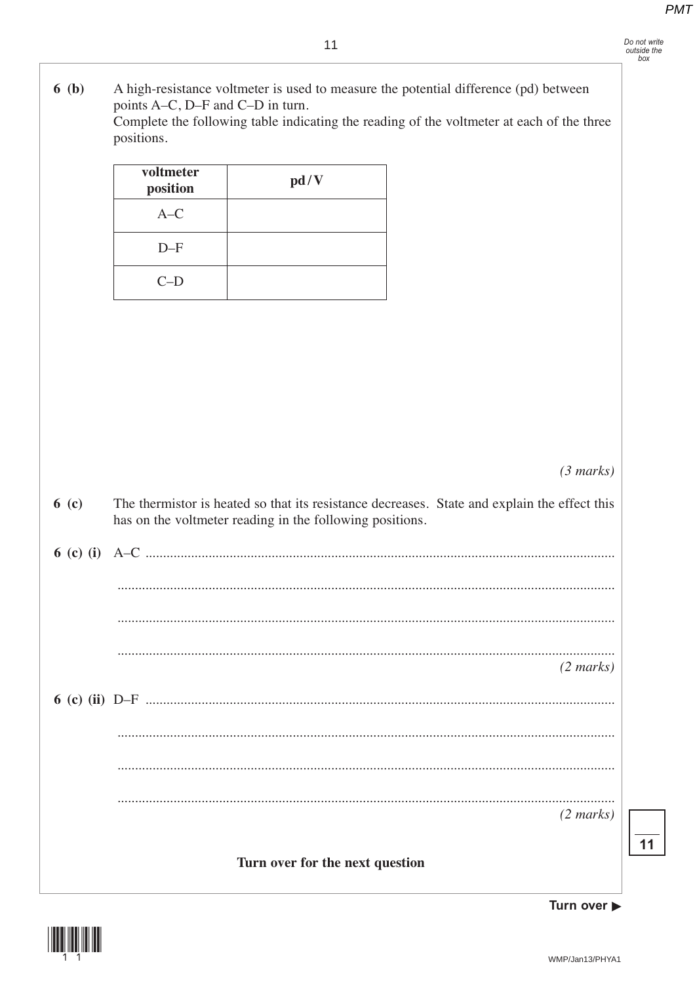- Do not write<br>outside the<br>box
- $6(b)$ A high-resistance voltmeter is used to measure the potential difference (pd) between points A-C, D-F and C-D in turn. Complete the following table indicating the reading of the voltmeter at each of the three positions.  $\Gamma$ voltmeter ┱

| <i>voitmetel</i><br>position | pd/V |
|------------------------------|------|
| $A-C$                        |      |
| $D-F$                        |      |
| $C-D$                        |      |

 $(3 marks)$ 

| 6( c) | The thermistor is heated so that its resistance decreases. State and explain the effect this<br>has on the voltmeter reading in the following positions. |
|-------|----------------------------------------------------------------------------------------------------------------------------------------------------------|
|       |                                                                                                                                                          |
|       |                                                                                                                                                          |
|       |                                                                                                                                                          |
|       | $(2 \text{ marks})$                                                                                                                                      |
|       |                                                                                                                                                          |
|       |                                                                                                                                                          |
|       |                                                                                                                                                          |
|       | $(2 \text{ marks})$                                                                                                                                      |
|       | Turn over for the next question                                                                                                                          |



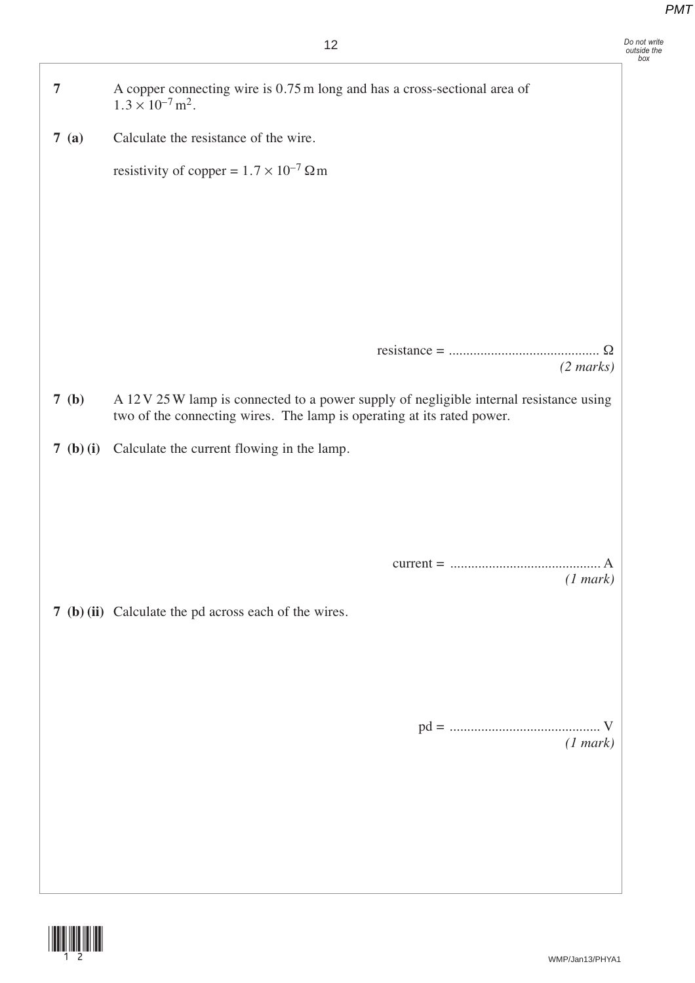*Do not write outside the box*

| $\overline{7}$ | A copper connecting wire is 0.75 m long and has a cross-sectional area of<br>$1.3 \times 10^{-7}$ m <sup>2</sup> .                                                |
|----------------|-------------------------------------------------------------------------------------------------------------------------------------------------------------------|
| 7(a)           | Calculate the resistance of the wire.                                                                                                                             |
|                | resistivity of copper = $1.7 \times 10^{-7} \Omega$ m                                                                                                             |
|                |                                                                                                                                                                   |
|                |                                                                                                                                                                   |
|                |                                                                                                                                                                   |
|                |                                                                                                                                                                   |
|                |                                                                                                                                                                   |
|                | $(2 \text{ marks})$                                                                                                                                               |
| 7(b)           | A 12 V 25 W lamp is connected to a power supply of negligible internal resistance using<br>two of the connecting wires. The lamp is operating at its rated power. |
| 7 (b) (i)      | Calculate the current flowing in the lamp.                                                                                                                        |
|                |                                                                                                                                                                   |
|                |                                                                                                                                                                   |
|                |                                                                                                                                                                   |
|                | (1 mark)                                                                                                                                                          |
|                | 7 (b) (ii) Calculate the pd across each of the wires.                                                                                                             |
|                |                                                                                                                                                                   |
|                |                                                                                                                                                                   |
|                |                                                                                                                                                                   |
|                | (1 mark)                                                                                                                                                          |
|                |                                                                                                                                                                   |
|                |                                                                                                                                                                   |
|                |                                                                                                                                                                   |
|                |                                                                                                                                                                   |

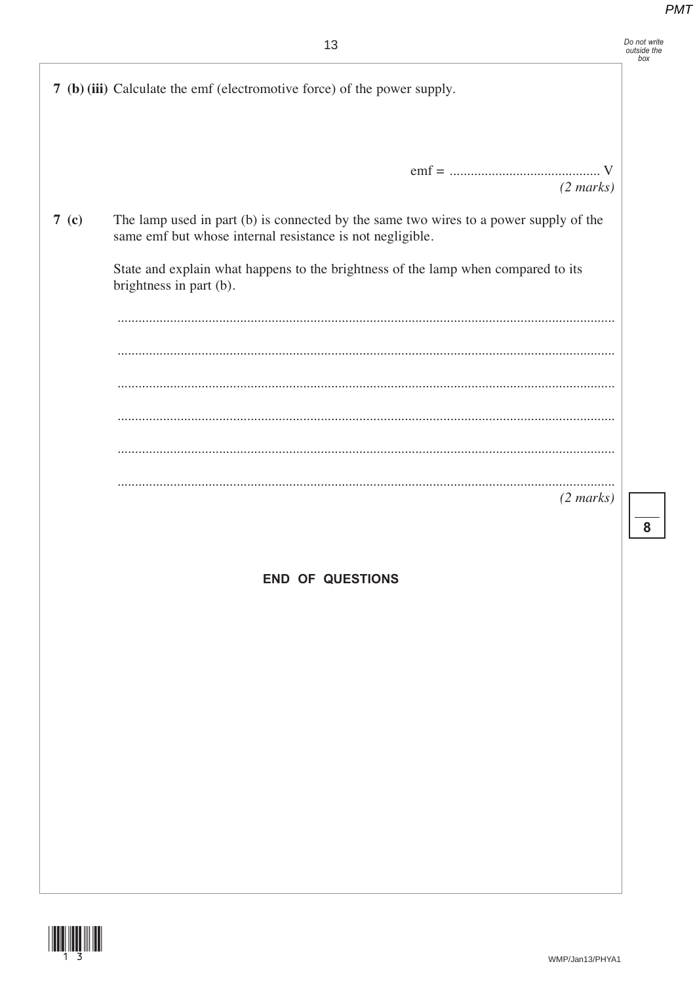| Do not write<br>outside the<br>hox |
|------------------------------------|
|                                    |

|                  | 7 (b) (iii) Calculate the emf (electromotive force) of the power supply.                                                                           |  |
|------------------|----------------------------------------------------------------------------------------------------------------------------------------------------|--|
|                  |                                                                                                                                                    |  |
|                  | $(2 \text{ marks})$                                                                                                                                |  |
| 7 <sub>(c)</sub> | The lamp used in part (b) is connected by the same two wires to a power supply of the<br>same emf but whose internal resistance is not negligible. |  |
|                  | State and explain what happens to the brightness of the lamp when compared to its<br>brightness in part (b).                                       |  |
|                  |                                                                                                                                                    |  |
|                  |                                                                                                                                                    |  |
|                  |                                                                                                                                                    |  |
|                  |                                                                                                                                                    |  |
|                  |                                                                                                                                                    |  |
|                  | $(2 \text{ marks})$                                                                                                                                |  |
|                  |                                                                                                                                                    |  |
|                  | <b>END OF QUESTIONS</b>                                                                                                                            |  |
|                  |                                                                                                                                                    |  |
|                  |                                                                                                                                                    |  |
|                  |                                                                                                                                                    |  |
|                  |                                                                                                                                                    |  |
|                  |                                                                                                                                                    |  |
|                  |                                                                                                                                                    |  |
|                  |                                                                                                                                                    |  |
|                  |                                                                                                                                                    |  |
|                  |                                                                                                                                                    |  |
|                  |                                                                                                                                                    |  |



 $\overline{\mathbf{8}}$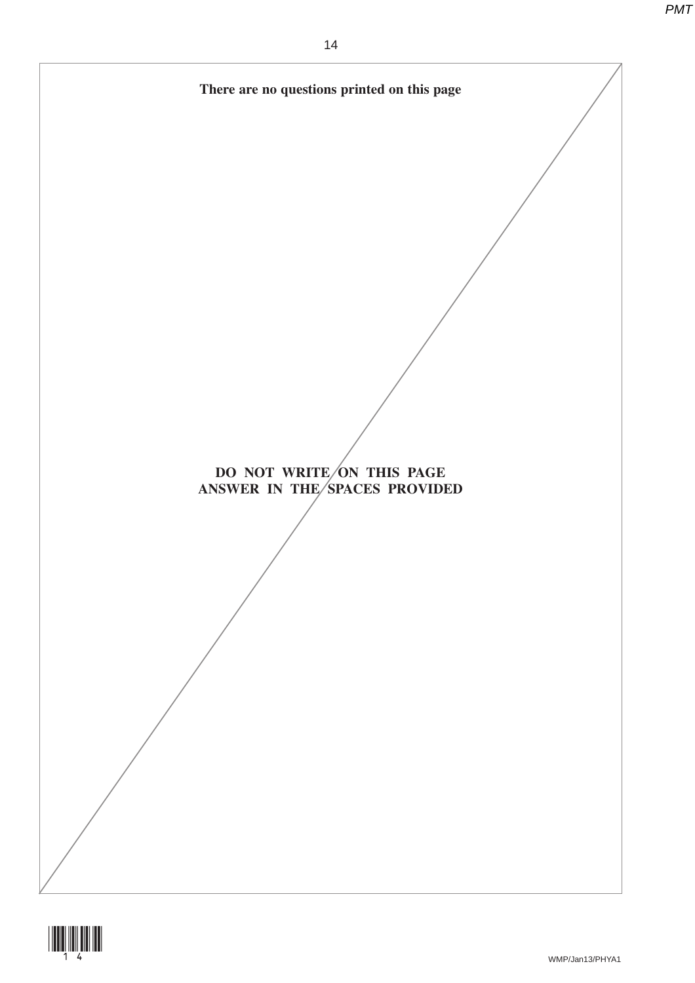

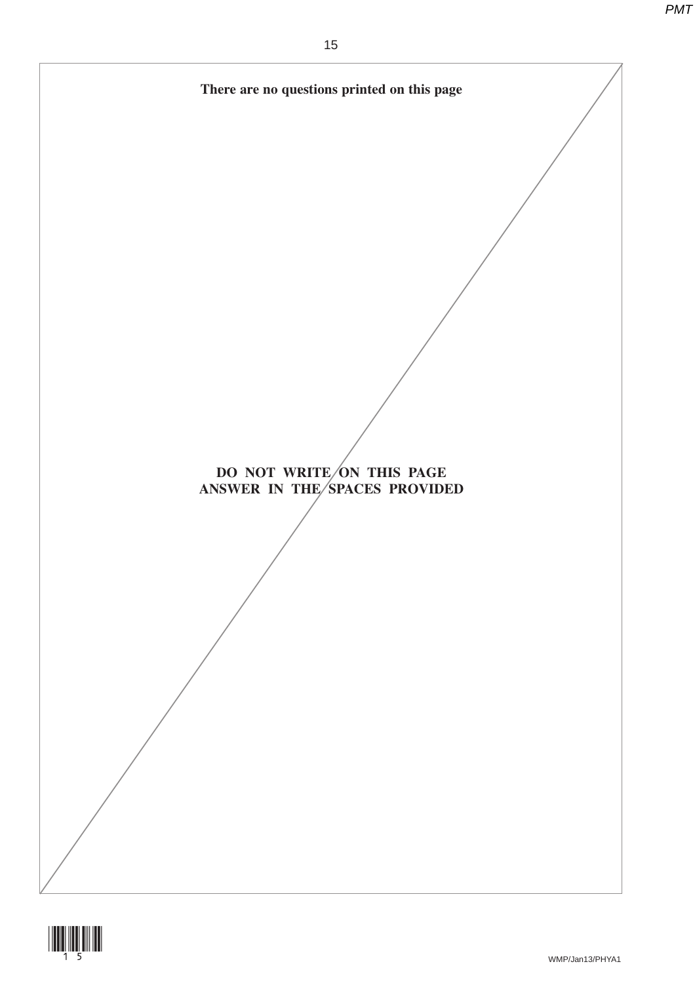